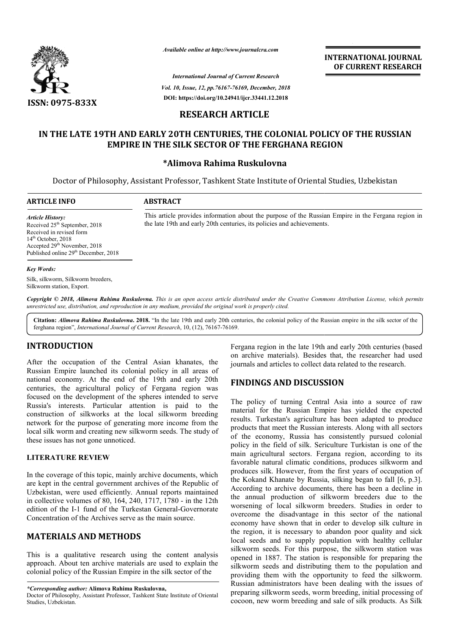

*Available online at http://www.journalcra.com*

**INTERNATIONAL JOURNAL OF CURRENT RESEARCH**

*Vol. 10, Issue, 12, pp. pp.76167-76169, December, 2018 International Journal of Current Research* **DOI: https://doi.org/10.24941/ijcr.33441.12.2018**

# **RESEARCH ARTICLE**

# **IN THE LATE 19TH AND EARLY 20TH CENTURIES, THE COLONIAL POLICY OF THE RUSSIAN POLICY OF FERGHANA REGIONEMPIRE IN THE SILK SECTOR OF THE FERGHANA REGION**

#### **\*Alimova Rahima Ruskulovna**

Doctor of Philosophy, Assistant Professor, Tashkent State Institute of Oriental Studies, Studies, Uzbekistan

This article provides information about the purpose of the Russian the late 19th and early 20th centuries, its policies and achievements.

#### **ARTICLE INFO ABSTRACT**

*Article History:* Received 25<sup>th</sup> September, 2018 Received in revised form 14<sup>th</sup> October, 2018 Accepted 29<sup>th</sup> November, 2018 Published online 29<sup>th</sup> December, 2018

#### *Key Words:*

Silk, silkworm, Silkworm breeders, Silkworm station, Export.

Copyright © 2018, Alimova Rahima Ruskulovna. This is an open access article distributed under the Creative Commons Attribution License, which permits *unrestricted use, distribution, and reproduction in any medium, provided the original work is properly cited.*

Citation: *Alimova Rahima Ruskulovna*. 2018. "In the late 19th and early 20th centuries, the colonial policy of the Russian empire in the silk sector of the Citation: *Alimova Rahima Ruskulovna*. 2018. "In the late 19th and early 20th cer<br>ferghana region", *International Journal of Current Research*, 10, (12), 76167-76169.

# **INTRODUCTION**

After the occupation of the Central Asian khanates, the Russian Empire launched its colonial policy in all areas of national economy. At the end of the 19th and early 20th centuries, the agricultural policy of Fergana region was focused on the development of the spheres intended to serve Russia's interests. Particular attention is paid to the construction of silkworks at the local silkworm breeding network for the purpose of generating more income from the local silk worm and creating new silkworm seeds. The study of these issues has not gone unnoticed.

#### **LITERATURE REVIEW**

In the coverage of this topic, mainly archive documents, which are kept in the central government archives of the Republic of Uzbekistan, were used efficiently. Annual reports maintained in collective volumes of 80, 164, 240, 1717, 1780 - in the 12th edition of the I-1 fund of the Turkestan General-Governorate Concentration of the Archives serve as the main source.

# **MATERIALS AND METHODS**

This is a qualitative research using the content analysis approach. About ten archive materials are used to explain the colonial policy of the Russian Empire in the silk sector of the

*\*Corresponding author:* **Alimova Rahima Ruskulovna,**

Fergana region in the late 19th and early 20th centuries (based on archive materials). Besides that, the researcher had used journals and articles to collect data related to the research.

# **FINDINGS AND DISCUSSION**

This article provides information about the purpose of the Russian Empire in the Fergana region in

The policy of turning Central Asia into a source of raw material for the Russian Empire has yielded the expected results. Turkestan's agriculture has been adapted to produce products that meet the Russian interests. Along with all sectors of the economy, Russia has consistently pursued colonial policy in the field of silk. Sericulture Turkistan is one of the main agricultural sectors. Fergana region, according to its favorable natural climatic conditions, produces silkworm and produces silk. However, from the first years of occupation of the Kokand Khanate by Russia, silking began to fall [6, p.3]. According to archive documents, there has been a decline in the annual production of silkworm breeders due to the worsening of local silkworm breeders. Studies in order to overcome the disadvantage in this sector of the national economy have shown that in order to develop silk culture in the region, it is necessary to abandon poor quality and sick local seeds and to supply population with healthy cellular silkworm seeds. For this purpose, the silkworm station was opened in 1887. The station is responsible for preparing the silkworm seeds and distributing them to the population and providing them with the opportunity to feed the silkworm. Russian administrators have been dealing with the issues of preparing silkworm seeds, worm breeding, initial processing of cocoon, new worm breeding and sale of silk products. As Silk archive materials). Besides that, the researcher had used<br>raals and articles to collect data related to the research.<br>**NDINGS AND DISCUSSION**<br>policy of turning Central Asia into a source of raw<br>erial for the Russian Empire main agricultural sectors. Fergana region, according to its favorable natural climatic conditions, produces silkworm and produces silk. However, from the first years of occupation of the Kokand Khanate by Russia, silking b ording to archive documents, there has been a decline in annual production of silkworm breeders. Studies in order to come the disadvantage in this sector of the national omy have shown that in order to develop silk culture **INTERNATIONAL JOUENAL.**<br> **INTERNATIONAL DOFFORMERIES (SEE ANCHAL THE RUSSIAN COFFORMERIES (SEE ANCHAL 2018)**<br> **ILE COLONIAL POLICY OF THE RUSSIAN**<br> **ILE COLONIAL POLICY OF THE RUSSIAN**<br> **ILE COLONIAL POLICY OF THE RUSSIAN** 

Doctor of Philosophy, Assistant Professor, Tashkent State Institute of Oriental Studies, Uzbekistan.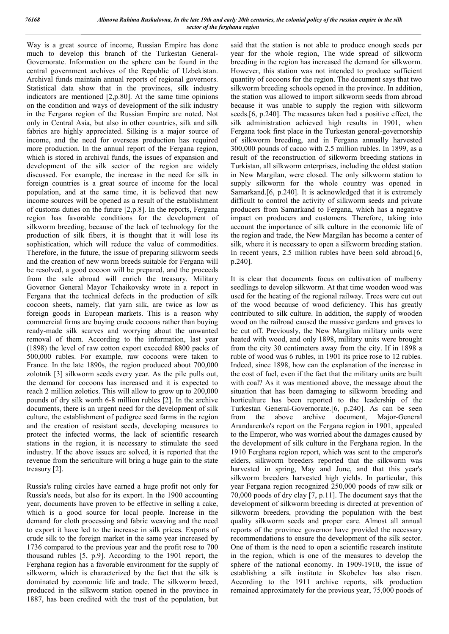Way is a great source of income, Russian Empire has done much to develop this branch of the Turkestan General-Governorate. Information on the sphere can be found in the central government archives of the Republic of Uzbekistan. Archival funds maintain annual reports of regional governors. Statistical data show that in the provinces, silk industry indicators are mentioned [2,p.80]. At the same time opinions on the condition and ways of development of the silk industry in the Fergana region of the Russian Empire are noted. Not only in Central Asia, but also in other countries, silk and silk fabrics are highly appreciated. Silking is a major source of income, and the need for overseas production has required more production. In the annual report of the Fergana region, which is stored in archival funds, the issues of expansion and development of the silk sector of the region are widely discussed. For example, the increase in the need for silk in foreign countries is a great source of income for the local population, and at the same time, it is believed that new income sources will be opened as a result of the establishment of customs duties on the future [2,p.8]. In the reports, Fergana region has favorable conditions for the development of silkworm breeding, because of the lack of technology for the production of silk fibers, it is thought that it will lose its sophistication, which will reduce the value of commodities. Therefore, in the future, the issue of preparing silkworm seeds and the creation of new worm breeds suitable for Fergana will be resolved, a good cocoon will be prepared, and the proceeds from the sale abroad will enrich the treasury. Military Governor General Mayor Tchaikovsky wrote in a report in Fergana that the technical defects in the production of silk cocoon sheets, namely, flat yarn silk, are twice as low as foreign goods in European markets. This is a reason why commercial firms are buying crude cocoons rather than buying ready-made silk scarves and worrying about the unwanted removal of them. According to the information, last year (1898) the level of raw cotton export exceeded 8800 packs of 500,000 rubles. For example, raw cocoons were taken to France. In the late 1890s, the region produced about 700,000 zolotnik [3] silkworm seeds every year. As the pile pulls out, the demand for cocoons has increased and it is expected to reach 2 million zolotics. This will allow to grow up to 200,000 pounds of dry silk worth 6-8 million rubles [2]. In the archive documents, there is an urgent need for the development of silk culture, the establishment of pedigree seed farms in the region and the creation of resistant seeds, developing measures to protect the infected worms, the lack of scientific research stations in the region, it is necessary to stimulate the seed industry. If the above issues are solved, it is reported that the revenue from the sericulture will bring a huge gain to the state treasury [2].

Russia's ruling circles have earned a huge profit not only for Russia's needs, but also for its export. In the 1900 accounting year, documents have proven to be effective in selling a cake, which is a good source for local people. Increase in the demand for cloth processing and fabric weaving and the need to export it have led to the increase in silk prices. Exports of crude silk to the foreign market in the same year increased by 1736 compared to the previous year and the profit rose to 700 thousand rubles [5, p.9]. According to the 1901 report, the Ferghana region has a favorable environment for the supply of silkworm, which is characterized by the fact that the silk is dominated by economic life and trade. The silkworm breed, produced in the silkworm station opened in the province in 1887, has been credited with the trust of the population, but

said that the station is not able to produce enough seeds per year for the whole region, The wide spread of silkworm breeding in the region has increased the demand for silkworm. However, this station was not intended to produce sufficient quantity of cocoons for the region. The document says that two silkworm breeding schools opened in the province. In addition, the station was allowed to import silkworm seeds from abroad because it was unable to supply the region with silkworm seeds.[6, p.240]. The measures taken had a positive effect, the silk administration achieved high results in 1901, when Fergana took first place in the Turkestan general-governorship of silkworm breeding, and in Fergana annually harvested 300,000 pounds of cacao with 2.5 million rubles. In 1899, as a result of the reconstruction of silkworm breeding stations in Turkistan, all silkworm enterprises, including the oldest station in New Margilan, were closed. The only silkworm station to supply silkworm for the whole country was opened in Samarkand.[6, p.240]. It is acknowledged that it is extremely difficult to control the activity of silkworm seeds and private producers from Samarkand to Fergana, which has a negative impact on producers and customers. Therefore, taking into account the importance of silk culture in the economic life of the region and trade, the New Margilan has become a center of silk, where it is necessary to open a silkworm breeding station. In recent years, 2.5 million rubles have been sold abroad.[6, p.240].

It is clear that documents focus on cultivation of mulberry seedlings to develop silkworm. At that time wooden wood was used for the heating of the regional railway. Trees were cut out of the wood because of wood deficiency. This has greatly contributed to silk culture. In addition, the supply of wooden wood on the railroad caused the massive gardens and graves to be cut off. Previously, the New Margilan military units were heated with wood, and only 1898, military units were brought from the city 30 centimeters away from the city. If in 1898 a ruble of wood was 6 rubles, in 1901 its price rose to 12 rubles. Indeed, since 1898, how can the explanation of the increase in the cost of fuel, even if the fact that the military units are built with coal? As it was mentioned above, the message about the situation that has been damaging to silkworm breeding and horticulture has been reported to the leadership of the Turkestan General-Governorate.[6, p.240]. As can be seen from the above archive document, Major-General Arandarenko's report on the Fergana region in 1901, appealed to the Emperor, who was worried about the damages caused by the development of silk culture in the Ferghana region. In the 1910 Ferghana region report, which was sent to the emperor's elders, silkworm breeders reported that the silkworm was harvested in spring, May and June, and that this year's silkworm breeders harvested high yields. In particular, this year Fergana region recognized 250,000 poods of raw silk or 70,000 poods of dry clay [7, p.11]. The document says that the development of silkworm breeding is directed at prevention of silkworm breeders, providing the population with the best quality silkworm seeds and proper care. Almost all annual reports of the province governor have provided the necessary recommendations to ensure the development of the silk sector. One of them is the need to open a scientific research institute in the region, which is one of the measures to develop the sphere of the national economy. In 1909-1910, the issue of establishing a silk institute in Skobelev has also risen. According to the 1911 archive reports, silk production remained approximately for the previous year, 75,000 poods of